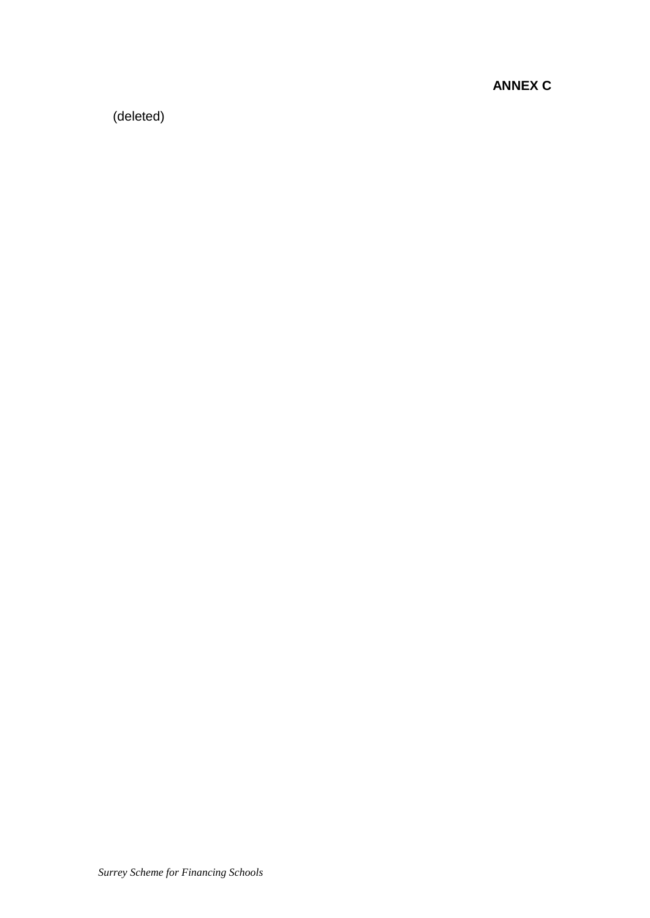**ANNEX C**

(deleted)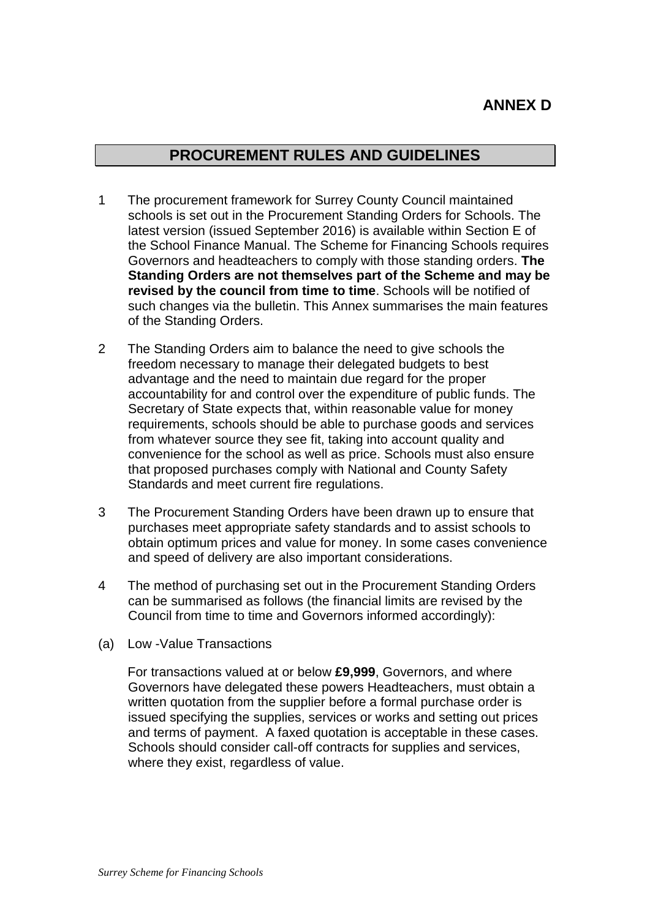# **ANNEX D**

# **PROCUREMENT RULES AND GUIDELINES**

- 1 The procurement framework for Surrey County Council maintained schools is set out in the Procurement Standing Orders for Schools. The latest version (issued September 2016) is available within Section E of the School Finance Manual. The Scheme for Financing Schools requires Governors and headteachers to comply with those standing orders. **The Standing Orders are not themselves part of the Scheme and may be revised by the council from time to time**. Schools will be notified of such changes via the bulletin. This Annex summarises the main features of the Standing Orders.
- 2 The Standing Orders aim to balance the need to give schools the freedom necessary to manage their delegated budgets to best advantage and the need to maintain due regard for the proper accountability for and control over the expenditure of public funds. The Secretary of State expects that, within reasonable value for money requirements, schools should be able to purchase goods and services from whatever source they see fit, taking into account quality and convenience for the school as well as price. Schools must also ensure that proposed purchases comply with National and County Safety Standards and meet current fire regulations.
- 3 The Procurement Standing Orders have been drawn up to ensure that purchases meet appropriate safety standards and to assist schools to obtain optimum prices and value for money. In some cases convenience and speed of delivery are also important considerations.
- 4 The method of purchasing set out in the Procurement Standing Orders can be summarised as follows (the financial limits are revised by the Council from time to time and Governors informed accordingly):
- (a) Low -Value Transactions

For transactions valued at or below **£9,999**, Governors, and where Governors have delegated these powers Headteachers, must obtain a written quotation from the supplier before a formal purchase order is issued specifying the supplies, services or works and setting out prices and terms of payment. A faxed quotation is acceptable in these cases. Schools should consider call-off contracts for supplies and services, where they exist, regardless of value.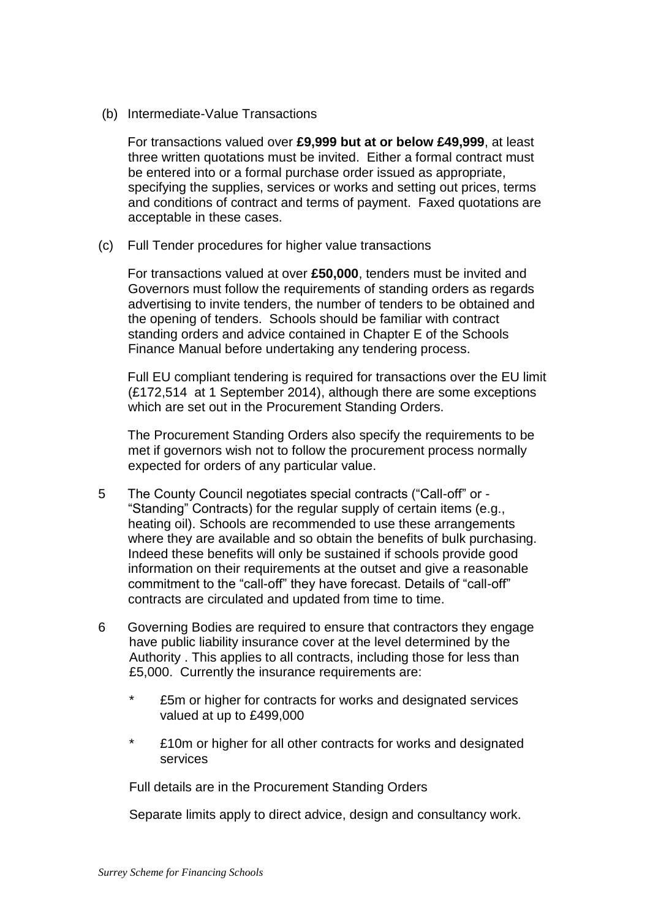(b) Intermediate-Value Transactions

For transactions valued over **£9,999 but at or below £49,999**, at least three written quotations must be invited. Either a formal contract must be entered into or a formal purchase order issued as appropriate, specifying the supplies, services or works and setting out prices, terms and conditions of contract and terms of payment. Faxed quotations are acceptable in these cases.

(c) Full Tender procedures for higher value transactions

For transactions valued at over **£50,000**, tenders must be invited and Governors must follow the requirements of standing orders as regards advertising to invite tenders, the number of tenders to be obtained and the opening of tenders. Schools should be familiar with contract standing orders and advice contained in Chapter E of the Schools Finance Manual before undertaking any tendering process.

Full EU compliant tendering is required for transactions over the EU limit (£172,514 at 1 September 2014), although there are some exceptions which are set out in the Procurement Standing Orders.

The Procurement Standing Orders also specify the requirements to be met if governors wish not to follow the procurement process normally expected for orders of any particular value.

- 5 The County Council negotiates special contracts ("Call-off" or "Standing" Contracts) for the regular supply of certain items (e.g., heating oil). Schools are recommended to use these arrangements where they are available and so obtain the benefits of bulk purchasing. Indeed these benefits will only be sustained if schools provide good information on their requirements at the outset and give a reasonable commitment to the "call-off" they have forecast. Details of "call-off" contracts are circulated and updated from time to time.
- 6 Governing Bodies are required to ensure that contractors they engage have public liability insurance cover at the level determined by the Authority . This applies to all contracts, including those for less than £5,000. Currently the insurance requirements are:
	- £5m or higher for contracts for works and designated services valued at up to £499,000
	- \* £10m or higher for all other contracts for works and designated services

Full details are in the Procurement Standing Orders

Separate limits apply to direct advice, design and consultancy work.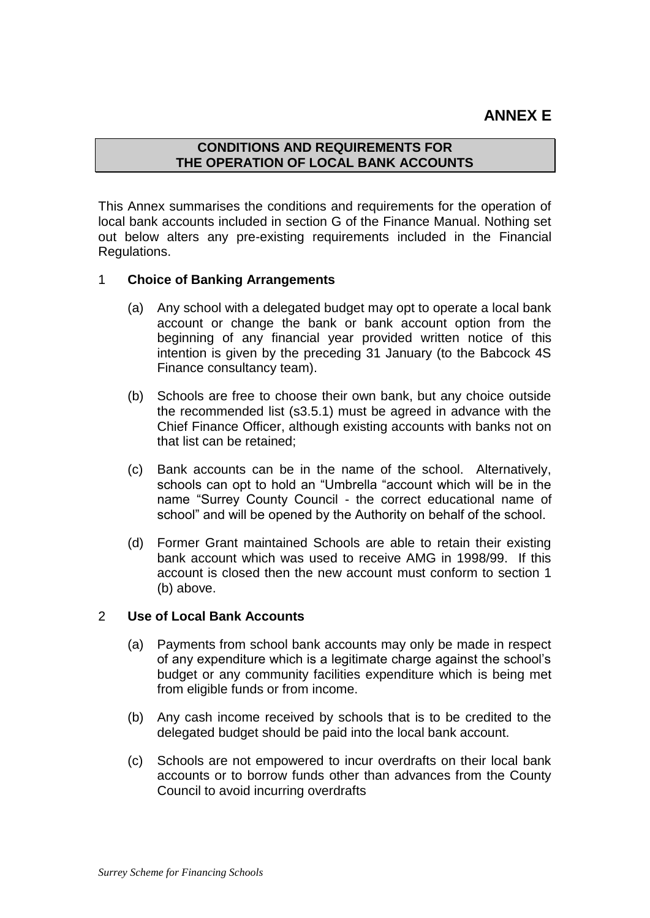## **ANNEX E**

## **CONDITIONS AND REQUIREMENTS FOR THE OPERATION OF LOCAL BANK ACCOUNTS**

This Annex summarises the conditions and requirements for the operation of local bank accounts included in section G of the Finance Manual. Nothing set out below alters any pre-existing requirements included in the Financial Regulations.

### 1 **Choice of Banking Arrangements**

- (a) Any school with a delegated budget may opt to operate a local bank account or change the bank or bank account option from the beginning of any financial year provided written notice of this intention is given by the preceding 31 January (to the Babcock 4S Finance consultancy team).
- (b) Schools are free to choose their own bank, but any choice outside the recommended list (s3.5.1) must be agreed in advance with the Chief Finance Officer, although existing accounts with banks not on that list can be retained;
- (c) Bank accounts can be in the name of the school. Alternatively, schools can opt to hold an "Umbrella "account which will be in the name "Surrey County Council - the correct educational name of school" and will be opened by the Authority on behalf of the school.
- (d) Former Grant maintained Schools are able to retain their existing bank account which was used to receive AMG in 1998/99. If this account is closed then the new account must conform to section 1 (b) above.

#### 2 **Use of Local Bank Accounts**

- (a) Payments from school bank accounts may only be made in respect of any expenditure which is a legitimate charge against the school's budget or any community facilities expenditure which is being met from eligible funds or from income.
- (b) Any cash income received by schools that is to be credited to the delegated budget should be paid into the local bank account.
- (c) Schools are not empowered to incur overdrafts on their local bank accounts or to borrow funds other than advances from the County Council to avoid incurring overdrafts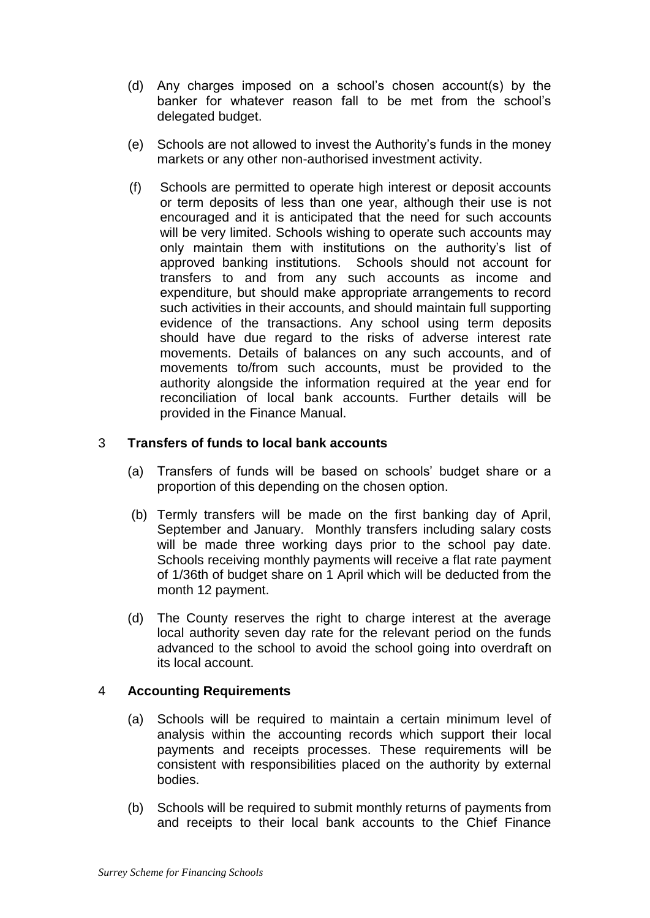- (d) Any charges imposed on a school's chosen account(s) by the banker for whatever reason fall to be met from the school's delegated budget.
- (e) Schools are not allowed to invest the Authority's funds in the money markets or any other non-authorised investment activity.
- (f) Schools are permitted to operate high interest or deposit accounts or term deposits of less than one year, although their use is not encouraged and it is anticipated that the need for such accounts will be very limited. Schools wishing to operate such accounts may only maintain them with institutions on the authority's list of approved banking institutions. Schools should not account for transfers to and from any such accounts as income and expenditure, but should make appropriate arrangements to record such activities in their accounts, and should maintain full supporting evidence of the transactions. Any school using term deposits should have due regard to the risks of adverse interest rate movements. Details of balances on any such accounts, and of movements to/from such accounts, must be provided to the authority alongside the information required at the year end for reconciliation of local bank accounts. Further details will be provided in the Finance Manual.

## 3 **Transfers of funds to local bank accounts**

- (a) Transfers of funds will be based on schools' budget share or a proportion of this depending on the chosen option.
- (b) Termly transfers will be made on the first banking day of April, September and January. Monthly transfers including salary costs will be made three working days prior to the school pay date. Schools receiving monthly payments will receive a flat rate payment of 1/36th of budget share on 1 April which will be deducted from the month 12 payment.
- (d) The County reserves the right to charge interest at the average local authority seven day rate for the relevant period on the funds advanced to the school to avoid the school going into overdraft on its local account.

#### 4 **Accounting Requirements**

- (a) Schools will be required to maintain a certain minimum level of analysis within the accounting records which support their local payments and receipts processes. These requirements will be consistent with responsibilities placed on the authority by external bodies.
- (b) Schools will be required to submit monthly returns of payments from and receipts to their local bank accounts to the Chief Finance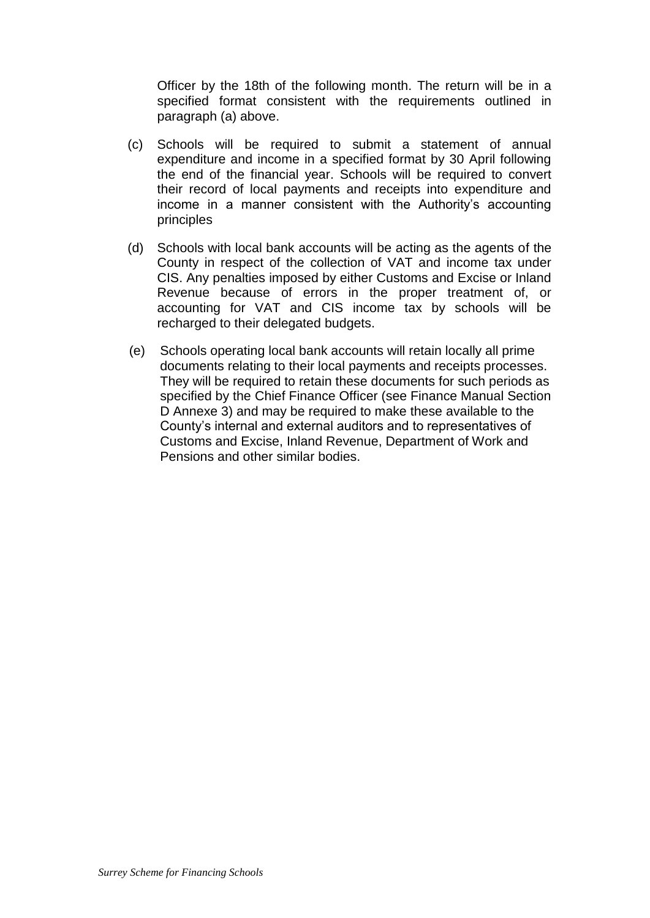Officer by the 18th of the following month. The return will be in a specified format consistent with the requirements outlined in paragraph (a) above.

- (c) Schools will be required to submit a statement of annual expenditure and income in a specified format by 30 April following the end of the financial year. Schools will be required to convert their record of local payments and receipts into expenditure and income in a manner consistent with the Authority's accounting principles
- (d) Schools with local bank accounts will be acting as the agents of the County in respect of the collection of VAT and income tax under CIS. Any penalties imposed by either Customs and Excise or Inland Revenue because of errors in the proper treatment of, or accounting for VAT and CIS income tax by schools will be recharged to their delegated budgets.
- (e) Schools operating local bank accounts will retain locally all prime documents relating to their local payments and receipts processes. They will be required to retain these documents for such periods as specified by the Chief Finance Officer (see Finance Manual Section D Annexe 3) and may be required to make these available to the County's internal and external auditors and to representatives of Customs and Excise, Inland Revenue, Department of Work and Pensions and other similar bodies.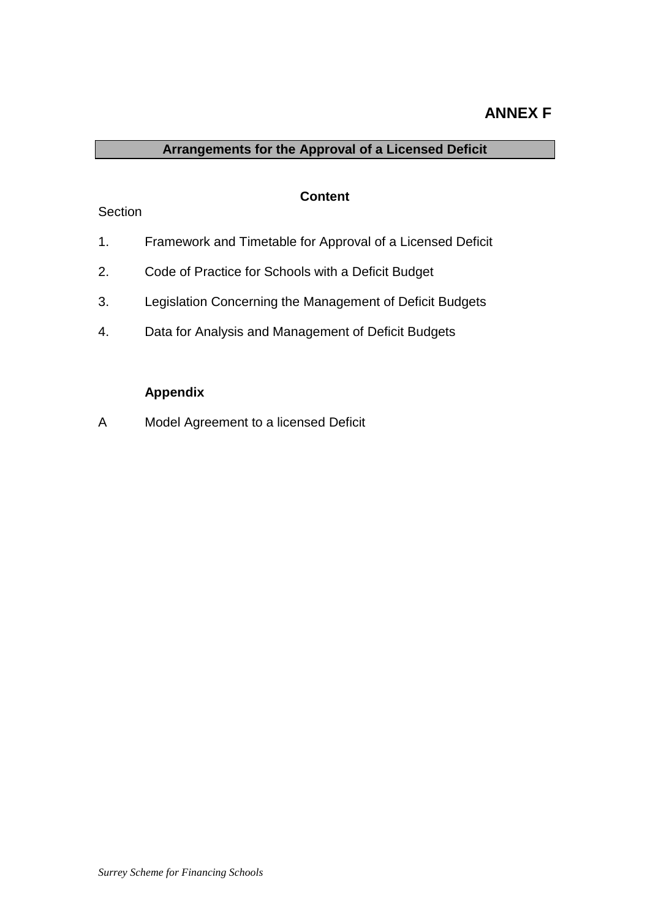## **ANNEX F**

## **Arrangements for the Approval of a Licensed Deficit**

#### **Content**

## **Section**

- 1. Framework and Timetable for Approval of a Licensed Deficit
- 2. Code of Practice for Schools with a Deficit Budget
- 3. Legislation Concerning the Management of Deficit Budgets
- 4. Data for Analysis and Management of Deficit Budgets

## **Appendix**

A Model Agreement to a licensed Deficit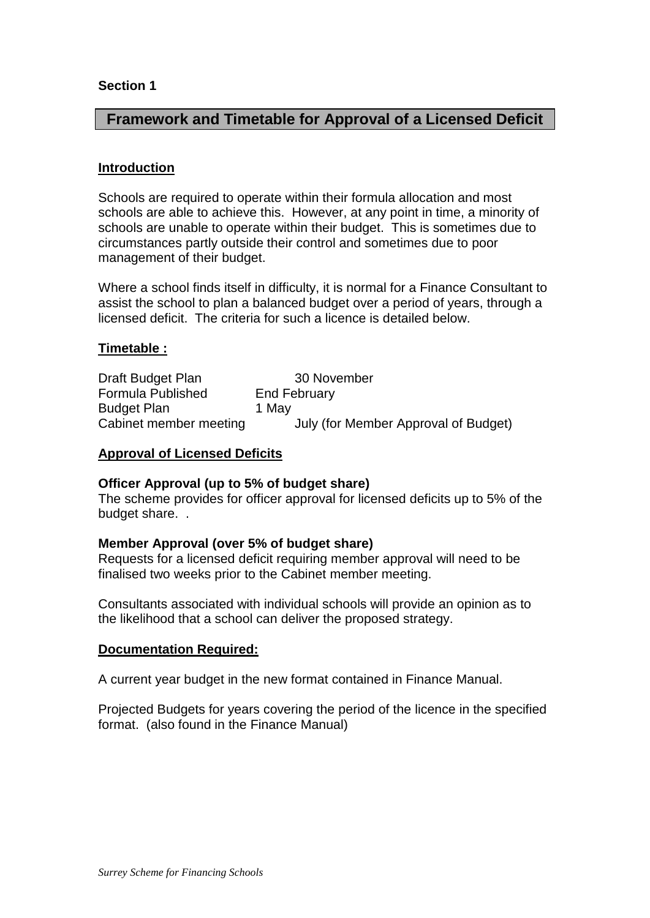## **Framework and Timetable for Approval of a Licensed Deficit**

#### **Introduction**

Schools are required to operate within their formula allocation and most schools are able to achieve this. However, at any point in time, a minority of schools are unable to operate within their budget. This is sometimes due to circumstances partly outside their control and sometimes due to poor management of their budget.

Where a school finds itself in difficulty, it is normal for a Finance Consultant to assist the school to plan a balanced budget over a period of years, through a licensed deficit. The criteria for such a licence is detailed below.

### **Timetable :**

Draft Budget Plan 30 November Formula Published End February Budget Plan 1 May Cabinet member meeting July (for Member Approval of Budget)

### **Approval of Licensed Deficits**

#### **Officer Approval (up to 5% of budget share)**

The scheme provides for officer approval for licensed deficits up to 5% of the budget share. .

#### **Member Approval (over 5% of budget share)**

Requests for a licensed deficit requiring member approval will need to be finalised two weeks prior to the Cabinet member meeting.

Consultants associated with individual schools will provide an opinion as to the likelihood that a school can deliver the proposed strategy.

#### **Documentation Required:**

A current year budget in the new format contained in Finance Manual.

Projected Budgets for years covering the period of the licence in the specified format. (also found in the Finance Manual)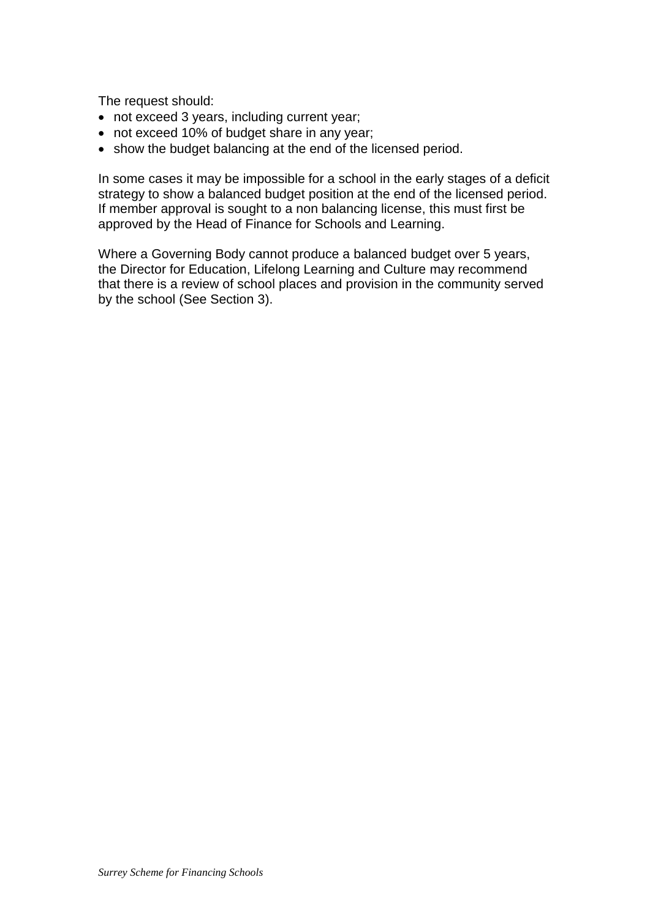The request should:

- not exceed 3 years, including current year;
- not exceed 10% of budget share in any year;
- show the budget balancing at the end of the licensed period.

In some cases it may be impossible for a school in the early stages of a deficit strategy to show a balanced budget position at the end of the licensed period. If member approval is sought to a non balancing license, this must first be approved by the Head of Finance for Schools and Learning.

Where a Governing Body cannot produce a balanced budget over 5 years, the Director for Education, Lifelong Learning and Culture may recommend that there is a review of school places and provision in the community served by the school (See Section 3).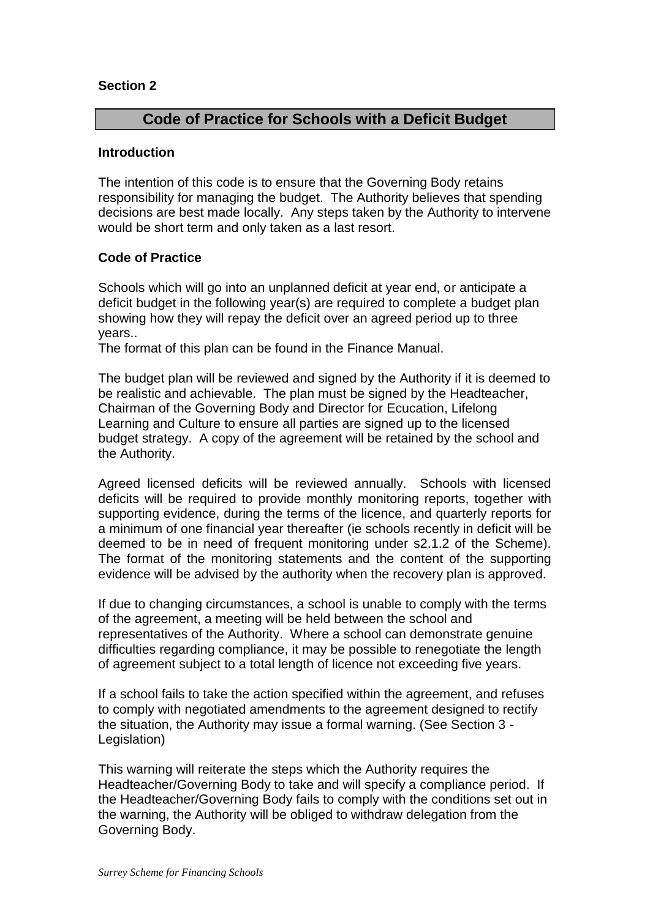## **Code of Practice for Schools with a Deficit Budget**

#### **Introduction**

The intention of this code is to ensure that the Governing Body retains responsibility for managing the budget. The Authority believes that spending decisions are best made locally. Any steps taken by the Authority to intervene would be short term and only taken as a last resort.

## **Code of Practice**

Schools which will go into an unplanned deficit at year end, or anticipate a deficit budget in the following year(s) are required to complete a budget plan showing how they will repay the deficit over an agreed period up to three years..

The format of this plan can be found in the Finance Manual.

The budget plan will be reviewed and signed by the Authority if it is deemed to be realistic and achievable. The plan must be signed by the Headteacher, Chairman of the Governing Body and Director for Ecucation, Lifelong Learning and Culture to ensure all parties are signed up to the licensed budget strategy. A copy of the agreement will be retained by the school and the Authority.

Agreed licensed deficits will be reviewed annually. Schools with licensed deficits will be required to provide monthly monitoring reports, together with supporting evidence, during the terms of the licence, and quarterly reports for a minimum of one financial year thereafter (ie schools recently in deficit will be deemed to be in need of frequent monitoring under s2.1.2 of the Scheme). The format of the monitoring statements and the content of the supporting evidence will be advised by the authority when the recovery plan is approved.

If due to changing circumstances, a school is unable to comply with the terms of the agreement, a meeting will be held between the school and representatives of the Authority. Where a school can demonstrate genuine difficulties regarding compliance, it may be possible to renegotiate the length of agreement subject to a total length of licence not exceeding five years.

If a school fails to take the action specified within the agreement, and refuses to comply with negotiated amendments to the agreement designed to rectify the situation, the Authority may issue a formal warning. (See Section 3 - Legislation)

This warning will reiterate the steps which the Authority requires the Headteacher/Governing Body to take and will specify a compliance period. If the Headteacher/Governing Body fails to comply with the conditions set out in the warning, the Authority will be obliged to withdraw delegation from the Governing Body.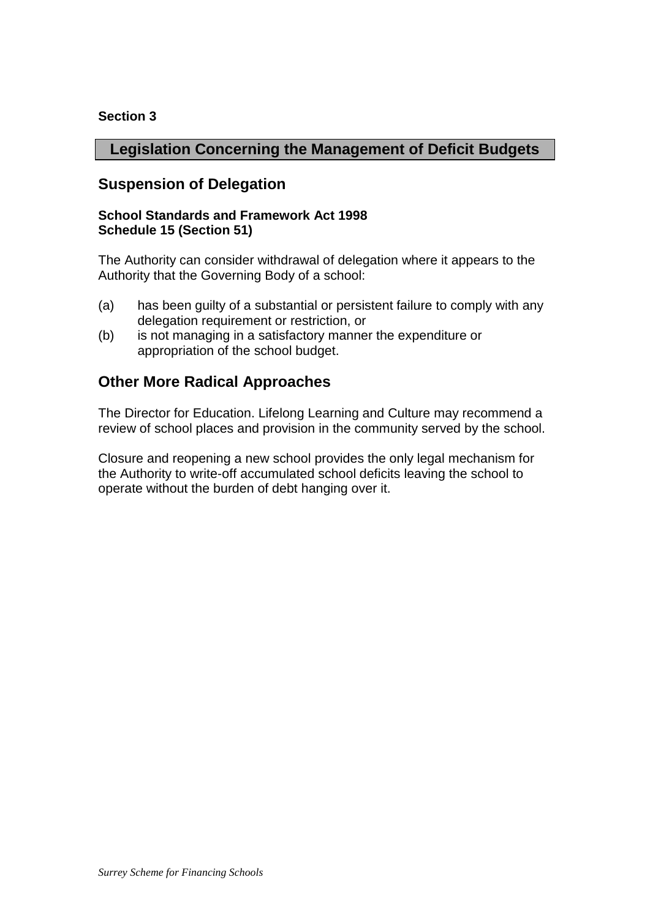## **Legislation Concerning the Management of Deficit Budgets**

## **Suspension of Delegation**

#### **School Standards and Framework Act 1998 Schedule 15 (Section 51)**

The Authority can consider withdrawal of delegation where it appears to the Authority that the Governing Body of a school:

- (a) has been guilty of a substantial or persistent failure to comply with any delegation requirement or restriction, or
- (b) is not managing in a satisfactory manner the expenditure or appropriation of the school budget.

## **Other More Radical Approaches**

The Director for Education. Lifelong Learning and Culture may recommend a review of school places and provision in the community served by the school.

Closure and reopening a new school provides the only legal mechanism for the Authority to write-off accumulated school deficits leaving the school to operate without the burden of debt hanging over it.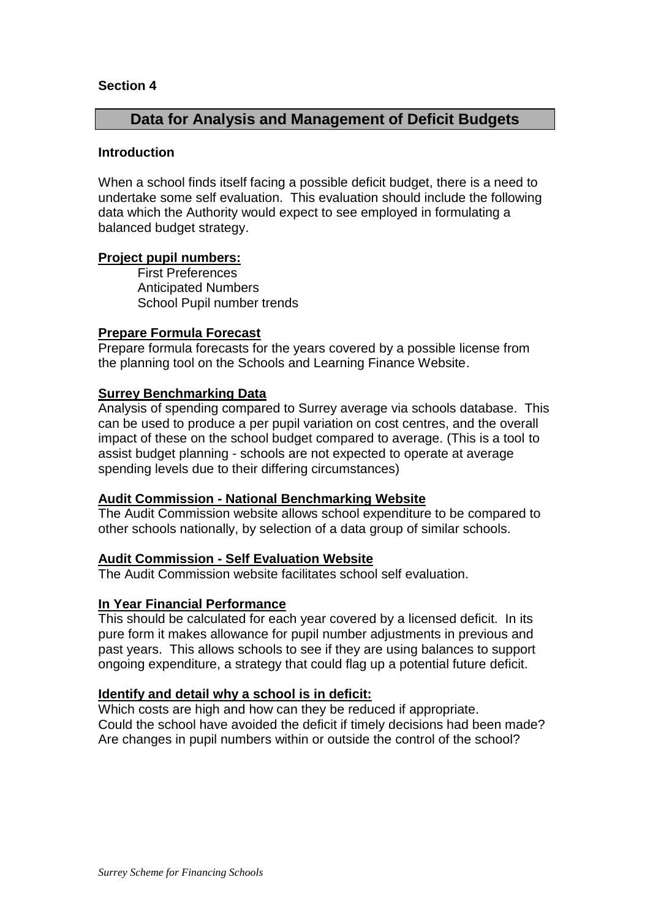## **Data for Analysis and Management of Deficit Budgets**

#### **Introduction**

When a school finds itself facing a possible deficit budget, there is a need to undertake some self evaluation. This evaluation should include the following data which the Authority would expect to see employed in formulating a balanced budget strategy.

### **Project pupil numbers:**

First Preferences Anticipated Numbers School Pupil number trends

### **Prepare Formula Forecast**

Prepare formula forecasts for the years covered by a possible license from the planning tool on the Schools and Learning Finance Website.

### **Surrey Benchmarking Data**

Analysis of spending compared to Surrey average via schools database. This can be used to produce a per pupil variation on cost centres, and the overall impact of these on the school budget compared to average. (This is a tool to assist budget planning - schools are not expected to operate at average spending levels due to their differing circumstances)

#### **Audit Commission - National Benchmarking Website**

The Audit Commission website allows school expenditure to be compared to other schools nationally, by selection of a data group of similar schools.

## **Audit Commission - Self Evaluation Website**

The Audit Commission website facilitates school self evaluation.

## **In Year Financial Performance**

This should be calculated for each year covered by a licensed deficit. In its pure form it makes allowance for pupil number adjustments in previous and past years. This allows schools to see if they are using balances to support ongoing expenditure, a strategy that could flag up a potential future deficit.

## **Identify and detail why a school is in deficit:**

Which costs are high and how can they be reduced if appropriate. Could the school have avoided the deficit if timely decisions had been made? Are changes in pupil numbers within or outside the control of the school?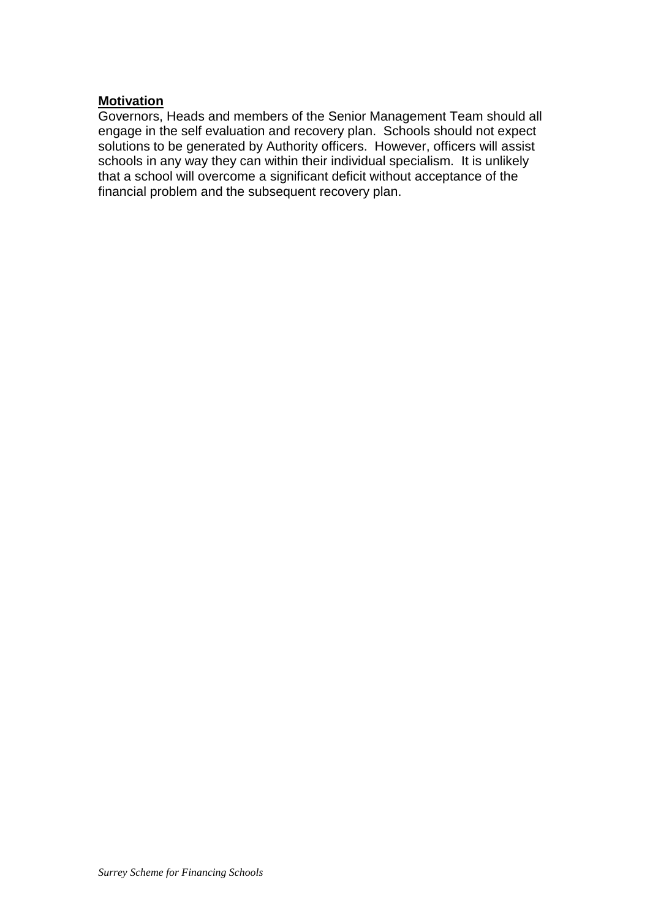### **Motivation**

Governors, Heads and members of the Senior Management Team should all engage in the self evaluation and recovery plan. Schools should not expect solutions to be generated by Authority officers. However, officers will assist schools in any way they can within their individual specialism. It is unlikely that a school will overcome a significant deficit without acceptance of the financial problem and the subsequent recovery plan.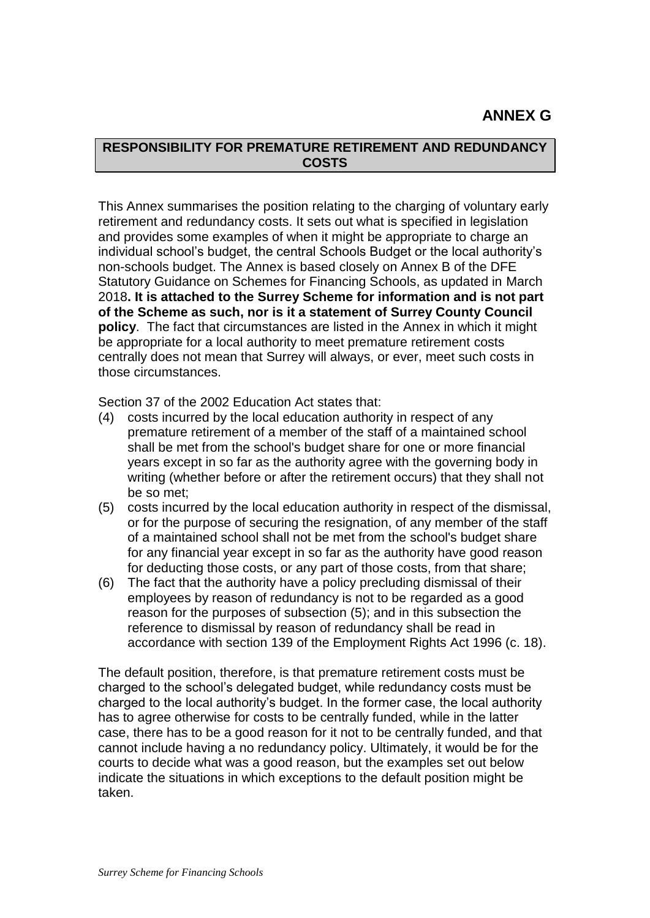# **ANNEX G**

## **RESPONSIBILITY FOR PREMATURE RETIREMENT AND REDUNDANCY COSTS**

This Annex summarises the position relating to the charging of voluntary early retirement and redundancy costs. It sets out what is specified in legislation and provides some examples of when it might be appropriate to charge an individual school's budget, the central Schools Budget or the local authority's non-schools budget. The Annex is based closely on Annex B of the DFE Statutory Guidance on Schemes for Financing Schools, as updated in March 2018**. It is attached to the Surrey Scheme for information and is not part of the Scheme as such, nor is it a statement of Surrey County Council policy**. The fact that circumstances are listed in the Annex in which it might be appropriate for a local authority to meet premature retirement costs centrally does not mean that Surrey will always, or ever, meet such costs in those circumstances.

Section 37 of the 2002 Education Act states that:

- (4) costs incurred by the local education authority in respect of any premature retirement of a member of the staff of a maintained school shall be met from the school's budget share for one or more financial years except in so far as the authority agree with the governing body in writing (whether before or after the retirement occurs) that they shall not be so met;
- (5) costs incurred by the local education authority in respect of the dismissal, or for the purpose of securing the resignation, of any member of the staff of a maintained school shall not be met from the school's budget share for any financial year except in so far as the authority have good reason for deducting those costs, or any part of those costs, from that share;
- (6) The fact that the authority have a policy precluding dismissal of their employees by reason of redundancy is not to be regarded as a good reason for the purposes of subsection (5); and in this subsection the reference to dismissal by reason of redundancy shall be read in accordance with section 139 of the Employment Rights Act 1996 (c. 18).

The default position, therefore, is that premature retirement costs must be charged to the school's delegated budget, while redundancy costs must be charged to the local authority's budget. In the former case, the local authority has to agree otherwise for costs to be centrally funded, while in the latter case, there has to be a good reason for it not to be centrally funded, and that cannot include having a no redundancy policy. Ultimately, it would be for the courts to decide what was a good reason, but the examples set out below indicate the situations in which exceptions to the default position might be taken.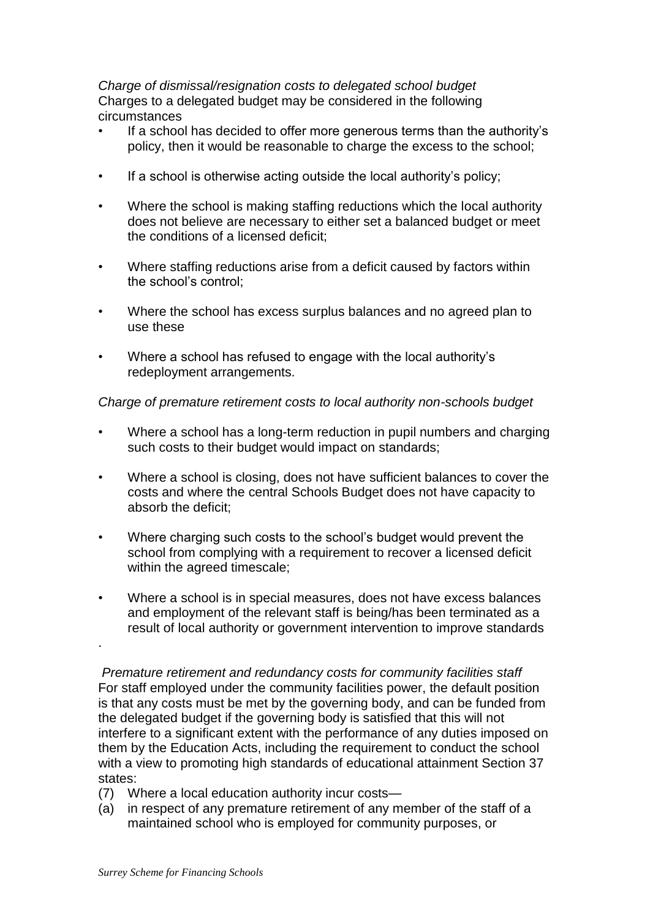*Charge of dismissal/resignation costs to delegated school budget*  Charges to a delegated budget may be considered in the following circumstances

- If a school has decided to offer more generous terms than the authority's policy, then it would be reasonable to charge the excess to the school;
- If a school is otherwise acting outside the local authority's policy;
- Where the school is making staffing reductions which the local authority does not believe are necessary to either set a balanced budget or meet the conditions of a licensed deficit;
- Where staffing reductions arise from a deficit caused by factors within the school's control;
- Where the school has excess surplus balances and no agreed plan to use these
- Where a school has refused to engage with the local authority's redeployment arrangements.

## *Charge of premature retirement costs to local authority non-schools budget*

- Where a school has a long-term reduction in pupil numbers and charging such costs to their budget would impact on standards;
- Where a school is closing, does not have sufficient balances to cover the costs and where the central Schools Budget does not have capacity to absorb the deficit;
- Where charging such costs to the school's budget would prevent the school from complying with a requirement to recover a licensed deficit within the agreed timescale;
- Where a school is in special measures, does not have excess balances and employment of the relevant staff is being/has been terminated as a result of local authority or government intervention to improve standards

*Premature retirement and redundancy costs for community facilities staff* For staff employed under the community facilities power, the default position is that any costs must be met by the governing body, and can be funded from the delegated budget if the governing body is satisfied that this will not interfere to a significant extent with the performance of any duties imposed on them by the Education Acts, including the requirement to conduct the school with a view to promoting high standards of educational attainment Section 37 states:

- (7) Where a local education authority incur costs—
- (a) in respect of any premature retirement of any member of the staff of a maintained school who is employed for community purposes, or

.